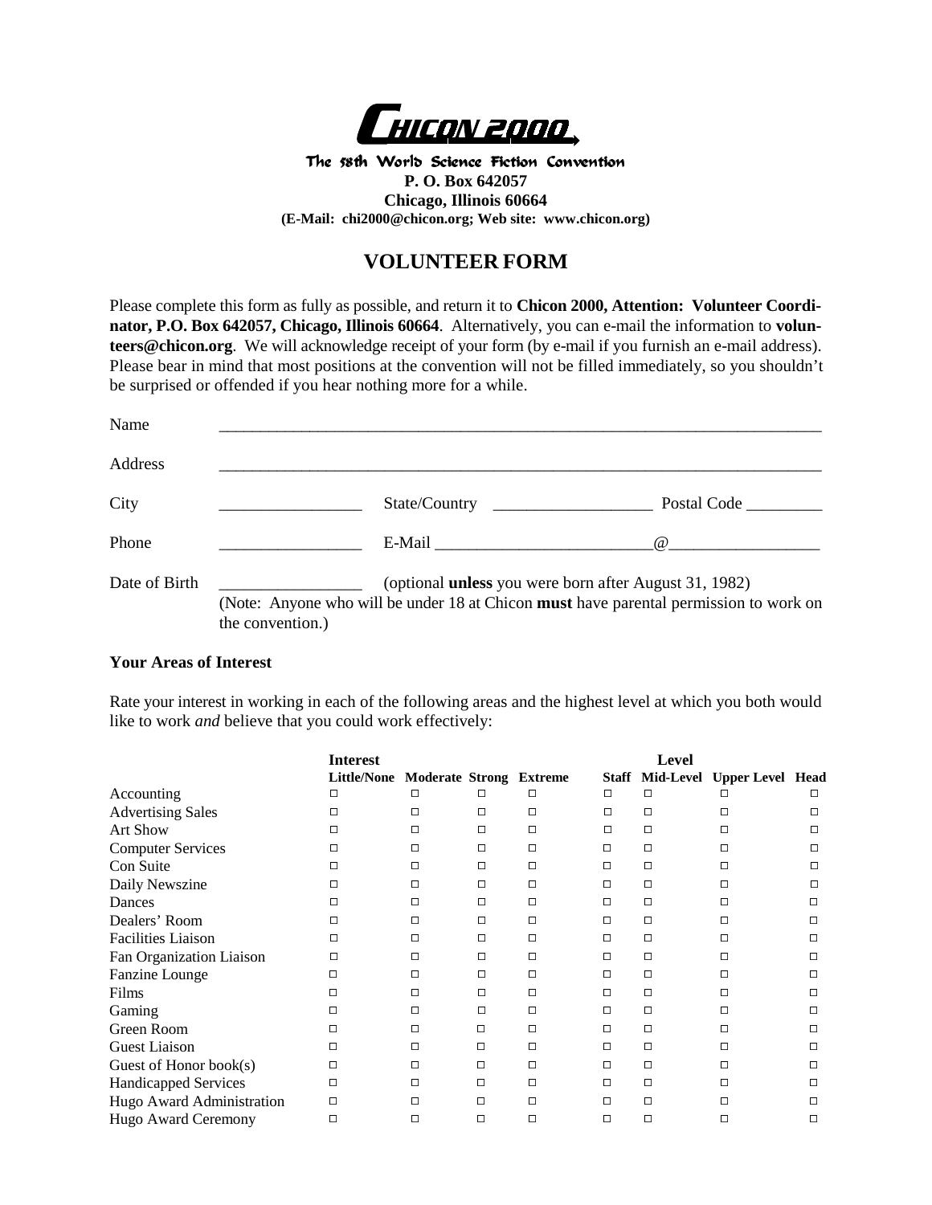

The 58th World Science Fiction Convention **P. O. Box 642057 Chicago, Illinois 60664 (E-Mail: chi2000@chicon.org; Web site: www.chicon.org)**

## **VOLUNTEER FORM**

Please complete this form as fully as possible, and return it to **Chicon 2000, Attention: Volunteer Coordinator, P.O. Box 642057, Chicago, Illinois 60664**. Alternatively, you can e-mail the information to **volunteers@chicon.org**. We will acknowledge receipt of your form (by e-mail if you furnish an e-mail address). Please bear in mind that most positions at the convention will not be filled immediately, so you shouldn't be surprised or offended if you hear nothing more for a while.

| Name          |                  |                      |                                                                                                                                                                                                                                                                                                                                  |
|---------------|------------------|----------------------|----------------------------------------------------------------------------------------------------------------------------------------------------------------------------------------------------------------------------------------------------------------------------------------------------------------------------------|
| Address       |                  |                      |                                                                                                                                                                                                                                                                                                                                  |
| City          |                  | State/Country        | Postal Code                                                                                                                                                                                                                                                                                                                      |
| Phone         |                  | E-Mail exponentially | $\omega$ and $\omega$ and $\omega$ and $\omega$ and $\omega$ and $\omega$ and $\omega$ and $\omega$ and $\omega$ and $\omega$ and $\omega$ and $\omega$ and $\omega$ and $\omega$ and $\omega$ and $\omega$ and $\omega$ and $\omega$ and $\omega$ and $\omega$ and $\omega$ and $\omega$ and $\omega$ and $\omega$ and $\omega$ |
| Date of Birth | the convention.) |                      | (optional <b>unless</b> you were born after August 31, 1982)<br>(Note: Anyone who will be under 18 at Chicon must have parental permission to work on                                                                                                                                                                            |

## **Your Areas of Interest**

Rate your interest in working in each of the following areas and the highest level at which you both would like to work *and* believe that you could work effectively:

|                           | <b>Interest</b>    |                                |   |        |        | <b>Level</b> |                                  |  |
|---------------------------|--------------------|--------------------------------|---|--------|--------|--------------|----------------------------------|--|
|                           | <b>Little/None</b> | <b>Moderate Strong Extreme</b> |   |        |        |              | Staff Mid-Level Upper Level Head |  |
| Accounting                | □                  |                                |   |        | $\Box$ | □            |                                  |  |
| <b>Advertising Sales</b>  | $\Box$             | $\Box$                         | □ | $\Box$ | $\Box$ | $\Box$       |                                  |  |
| <b>Art Show</b>           | $\Box$             | $\Box$                         | П | $\Box$ | $\Box$ | $\Box$       |                                  |  |
| <b>Computer Services</b>  | □                  | $\Box$                         | П | П      | Π      | $\Box$       | □                                |  |
| Con Suite                 | □                  | $\Box$                         | П | $\Box$ | $\Box$ | $\Box$       | □                                |  |
| Daily Newszine            | □                  | $\Box$                         | П | □      | $\Box$ | $\Box$       | □                                |  |
| Dances                    | □                  | $\Box$                         | П | П      | $\Box$ | $\Box$       | $\Box$                           |  |
| Dealers' Room             | □                  | $\Box$                         | П |        | Π      | $\Box$       |                                  |  |
| <b>Facilities Liaison</b> | $\Box$             | $\Box$                         | П |        |        | $\Box$       |                                  |  |
| Fan Organization Liaison  | □                  | $\Box$                         | П | П      |        | □            |                                  |  |
| Fanzine Lounge            | □                  | □                              | П |        |        | $\Box$       | П                                |  |
| Films                     | $\Box$             | □                              | П |        |        | $\Box$       |                                  |  |
| Gaming                    | $\Box$             | П                              | П |        |        | $\Box$       |                                  |  |
| Green Room                | □                  | $\Box$                         | П | П      | □      | $\Box$       | □                                |  |
| <b>Guest Liaison</b>      | □                  | $\Box$                         | П |        | $\Box$ | $\Box$       | П                                |  |
| Guest of Honor book(s)    | П                  | $\Box$                         | П |        | $\Box$ | $\Box$       |                                  |  |
| Handicapped Services      | П                  | $\Box$                         | П |        | □      | $\Box$       | $\Box$                           |  |
| Hugo Award Administration | $\Box$             | □                              | П |        | Π      | $\Box$       |                                  |  |
| Hugo Award Ceremony       | $\Box$             | □                              | П |        | П      | □            |                                  |  |